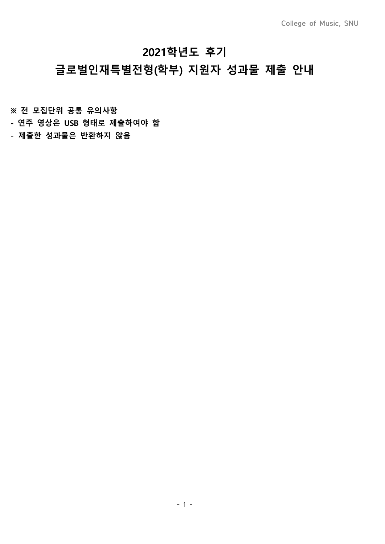# **2021학년도 후기**

# **글로벌인재특별전형(학부) 지원자 성과물 제출 안내**

**※ 전 모집단위 공통 유의사항**

- **연주 영상은 USB 형태로 제출하여야 함**
- **제출한 성과물은 반환하지 않음**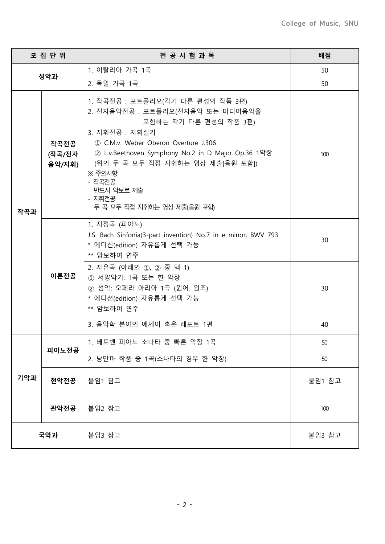|     | 모 집 단 위                  | 전 공 시 험 과 목                                                                                                                                                                                                                                                                                                                                                                                                                                                                                                                                                                                                                               | 배점       |
|-----|--------------------------|-------------------------------------------------------------------------------------------------------------------------------------------------------------------------------------------------------------------------------------------------------------------------------------------------------------------------------------------------------------------------------------------------------------------------------------------------------------------------------------------------------------------------------------------------------------------------------------------------------------------------------------------|----------|
| 성악과 |                          | 1. 이탈리아 가곡 1곡                                                                                                                                                                                                                                                                                                                                                                                                                                                                                                                                                                                                                             | 50       |
|     |                          | 2. 독일 가곡 1곡                                                                                                                                                                                                                                                                                                                                                                                                                                                                                                                                                                                                                               | 50       |
| 작곡과 | 작곡전공<br>(작곡/전자<br>음악/지휘) | 1. 작곡전공 : 포트폴리오(각기 다른 편성의 작품 3편)<br>2. 전자음악전공 : 포트폴리오(전자음악 또는 미디어음악을<br>포함하는 각기 다른 편성의 작품 3편)<br>3. 지휘전공 : 지휘실기<br>1 C.M.v. Weber Oberon Overture J.306<br>② L.v.Beethoven Symphony No.2 in D Major Op.36 1악장<br>(위의 두 곡 모두 직접 지휘하는 영상 제출[음원 포함])<br>$\frac{1}{2}$ $\frac{1}{2}$ $\frac{1}{2}$ $\frac{1}{2}$ $\frac{1}{2}$ $\frac{1}{2}$ $\frac{1}{2}$ $\frac{1}{2}$ $\frac{1}{2}$ $\frac{1}{2}$ $\frac{1}{2}$ $\frac{1}{2}$ $\frac{1}{2}$ $\frac{1}{2}$ $\frac{1}{2}$ $\frac{1}{2}$ $\frac{1}{2}$ $\frac{1}{2}$ $\frac{1}{2}$ $\frac{1}{2}$ $\frac{1}{2}$ $\frac{1}{2}$<br>- 작곡전공<br>반드시 악보로 제출<br>- 지휘전공<br>두 곡 모두 직접 지휘하는 영상 제출(음원 포함) | 100      |
|     | 이론전공                     | 1. 지정곡 (피아노)<br>J.S. Bach Sinfonia(3-part invention) No.7 in e minor, BWV 793<br>* 에디션(edition) 자유롭게 선택 가능<br>** 암보하여 연주<br>2. 자유곡 (아래의 ①, ② 중 택 1)<br>① 서양악기: 1곡 또는 한 악장                                                                                                                                                                                                                                                                                                                                                                                                                                                                 | 30       |
|     |                          | ② 성악: 오페라 아리아 1곡 (원어, 원조)<br>* 에디션(edition) 자유롭게 선택 가능<br>** 암보하여 연주<br>3. 음악학 분야의 에세이 혹은 레포트 1편                                                                                                                                                                                                                                                                                                                                                                                                                                                                                                                                          | 30<br>40 |
|     |                          |                                                                                                                                                                                                                                                                                                                                                                                                                                                                                                                                                                                                                                           |          |
|     | 피아노전공                    | 1. 베토벤 피아노 소나타 중 빠른 악장 1곡<br>2. 낭만파 작품 중 1곡(소나타의 경우 한 악장)                                                                                                                                                                                                                                                                                                                                                                                                                                                                                                                                                                                 | 50<br>50 |
| 기악과 | 현악전공                     | 붙임1 참고                                                                                                                                                                                                                                                                                                                                                                                                                                                                                                                                                                                                                                    | 붙임1 참고   |
|     | 관악전공                     | 붙임2 참고                                                                                                                                                                                                                                                                                                                                                                                                                                                                                                                                                                                                                                    | 100      |
| 국악과 |                          | 붙임3참고                                                                                                                                                                                                                                                                                                                                                                                                                                                                                                                                                                                                                                     | 붙임3참고    |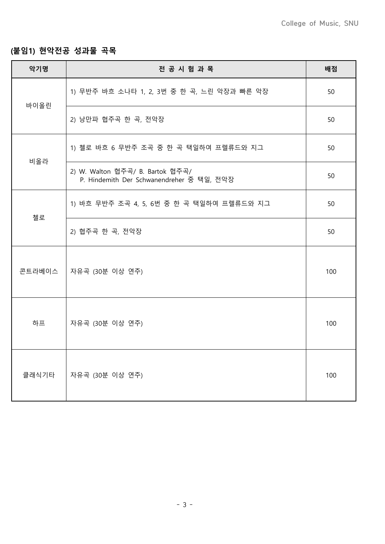## **(붙임1) 현악전공 성과물 곡목**

| 악기명    | 전 공 시 험 과 목                                                                   | 배점  |
|--------|-------------------------------------------------------------------------------|-----|
| 바이올린   | 1) 무반주 바흐 소나타 1, 2, 3번 중 한 곡, 느린 악장과 빠른 악장                                    | 50  |
|        | 2) 낭만파 협주곡 한 곡, 전악장                                                           | 50  |
| 비올라    | 1) 첼로 바흐 6 무반주 조곡 중 한 곡 택일하여 프렐류드와 지그                                         | 50  |
|        | 2) W. Walton 협주곡/ B. Bartok 협주곡/<br>P. Hindemith Der Schwanendreher 중 택일, 전악장 | 50  |
|        | 1) 바흐 무반주 조곡 4, 5, 6번 중 한 곡 택일하여 프렐류드와 지그                                     | 50  |
| 첼로     | 2) 협주곡 한 곡, 전악장                                                               | 50  |
| 콘트라베이스 | 자유곡 (30분 이상 연주)                                                               | 100 |
| 하프     | 자유곡 (30분 이상 연주)                                                               | 100 |
| 클래식기타  | 자유곡 (30분 이상 연주)                                                               | 100 |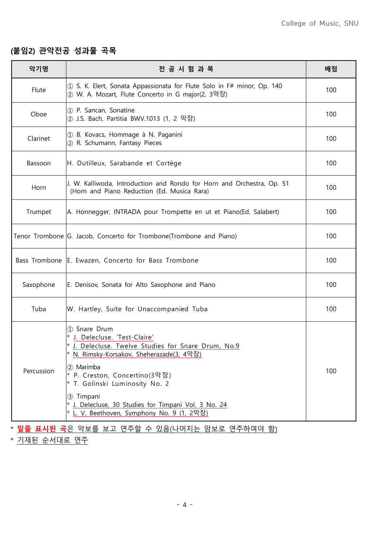### **(붙임2) 관악전공 성과물 곡목**

| 악기명        | 전 공 시 험 과 목                                                                                                                                                                                                                       | 배점  |
|------------|-----------------------------------------------------------------------------------------------------------------------------------------------------------------------------------------------------------------------------------|-----|
| Flute      | 1 S. K. Elert, Sonata Appassionata for Flute Solo in F# minor, Op. 140<br>② W. A. Mozart, Flute Concerto in G major(2, 3악장)                                                                                                       | 100 |
| Oboe       | 1 P. Sancan, Sonatine<br>② J.S. Bach, Partitia BWV.1013 (1, 2 악장)                                                                                                                                                                 | 100 |
| Clarinet   | 1 B. Kovacs, Hommage à N. Paganini<br>2 R. Schumann, Fantasy Pieces                                                                                                                                                               | 100 |
| Bassoon    | H. Dutilleux, Sarabande et Cortège                                                                                                                                                                                                | 100 |
| Horn       | J. W. Kalliwoda, Introduction and Rondo for Horn and Orchestra, Op. 51<br>(Horn and Piano Reduction (Ed. Musica Rara)                                                                                                             | 100 |
| Trumpet    | A. Honnegger, INTRADA pour Trompette en ut et Piano(Ed. Salabert)                                                                                                                                                                 | 100 |
|            | Tenor Trombone G. Jacob, Concerto for Trombone(Trombone and Piano)                                                                                                                                                                | 100 |
|            | Bass Trombone E. Ewazen, Concerto for Bass Trombone                                                                                                                                                                               | 100 |
| Saxophone  | E. Denisov, Sonata for Alto Saxophone and Piano                                                                                                                                                                                   | 100 |
| Tuba       | W. Hartley, Suite for Unaccompanied Tuba                                                                                                                                                                                          | 100 |
| Percussion | 1 Snare Drum<br>* J. Delecluse. 'Test-Claire'<br>* J. Delecluse. Twelve Studies for Snare Drum, No.9<br>* N. Rimsky-Korsakov, Sheherazade(3, 4악장)<br>2 Marimba<br>* P. Creston, Concertino(3악장)<br>* T. Golinski Luminosity No. 2 | 100 |
|            | 3 Timpani<br>* J. Delecluse, 30 Studies for Timpani Vol. 3 No. 24<br>* L. V. Beethoven, Symphony No. 9 (1, 2악장)                                                                                                                   |     |

\* **밑줄 표시된 곡**은 악보를 보고 연주할 수 있음(나머지는 암보로 연주하여야 함)

\* 기재된 순서대로 연주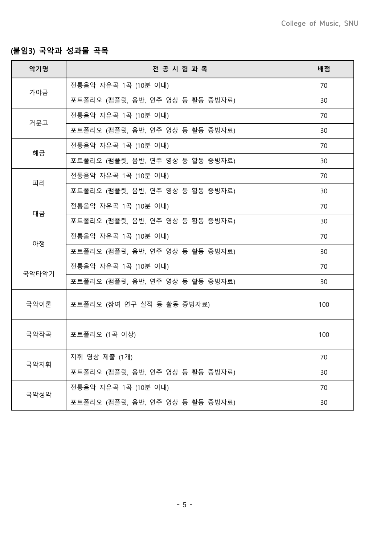### **(붙임3) 국악과 성과물 곡목**

| 악기명                                                             | 전 공 시 험 과 목                      | 배점  |
|-----------------------------------------------------------------|----------------------------------|-----|
|                                                                 | 전통음악 자유곡 1곡 (10분 이내)             | 70  |
|                                                                 | 포트폴리오 (팸플릿, 음반, 연주 영상 등 활동 증빙자료) | 30  |
|                                                                 | 전통음악 자유곡 1곡 (10분 이내)             | 70  |
|                                                                 | 포트폴리오 (팸플릿, 음반, 연주 영상 등 활동 증빙자료) | 30  |
|                                                                 | 전통음악 자유곡 1곡 (10분 이내)             | 70  |
|                                                                 | 포트폴리오 (팸플릿, 음반, 연주 영상 등 활동 증빙자료) | 30  |
|                                                                 | 전통음악 자유곡 1곡 (10분 이내)             | 70  |
| 대금                                                              | 포트폴리오 (팸플릿, 음반, 연주 영상 등 활동 증빙자료) | 30  |
|                                                                 | 전통음악 자유곡 1곡 (10분 이내)             | 70  |
|                                                                 | 포트폴리오 (팸플릿, 음반, 연주 영상 등 활동 증빙자료) | 30  |
| 아쟁                                                              | 전통음악 자유곡 1곡 (10분 이내)             | 70  |
|                                                                 | 포트폴리오 (팸플릿, 음반, 연주 영상 등 활동 증빙자료) | 30  |
|                                                                 | 전통음악 자유곡 1곡 (10분 이내)             | 70  |
| 가야금<br>거문고<br>해금<br>피리<br>국악타악기<br>국악이론<br>국악작곡<br>국악지휘<br>국악성악 | 포트폴리오 (팸플릿, 음반, 연주 영상 등 활동 증빙자료) | 30  |
|                                                                 | 포트폴리오 (참여 연구 실적 등 활동 증빙자료)       | 100 |
|                                                                 | 포트폴리오 (1곡 이상)                    | 100 |
|                                                                 | 지휘 영상 제출 (1개)                    | 70  |
|                                                                 | 포트폴리오 (팸플릿, 음반, 연주 영상 등 활동 증빙자료) | 30  |
|                                                                 | 전통음악 자유곡 1곡 (10분 이내)             | 70  |
|                                                                 | 포트폴리오 (팸플릿, 음반, 연주 영상 등 활동 증빙자료) | 30  |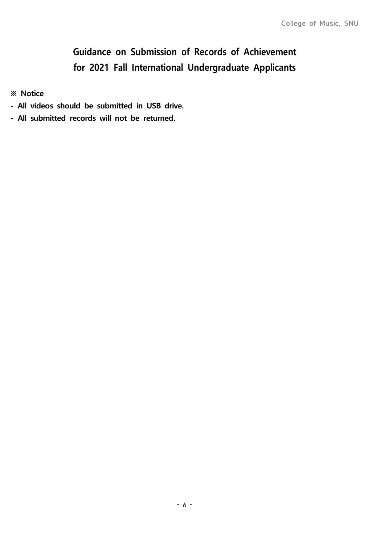# **Guidance on Submission of Records of Achievement for 2021 Fall International Undergraduate Applicants**

**※ Notice**

- **All videos should be submitted in USB drive.**
- **All submitted records will not be returned.**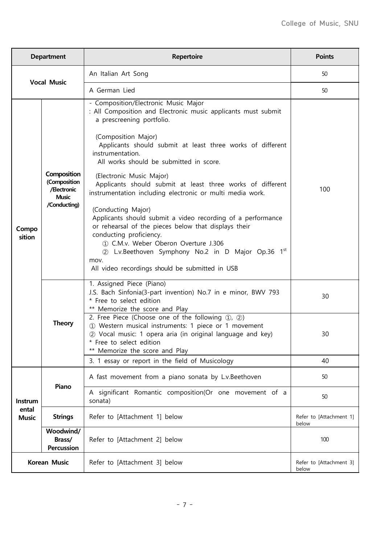|                                  | <b>Department</b>                                                          | <b>Repertoire</b>                                                                                                                                                                                                                                                                                                                                                                                                                                                                                                                                                                                                                                                                                                                                                                      | <b>Points</b>                    |
|----------------------------------|----------------------------------------------------------------------------|----------------------------------------------------------------------------------------------------------------------------------------------------------------------------------------------------------------------------------------------------------------------------------------------------------------------------------------------------------------------------------------------------------------------------------------------------------------------------------------------------------------------------------------------------------------------------------------------------------------------------------------------------------------------------------------------------------------------------------------------------------------------------------------|----------------------------------|
| <b>Vocal Music</b>               |                                                                            | An Italian Art Song                                                                                                                                                                                                                                                                                                                                                                                                                                                                                                                                                                                                                                                                                                                                                                    | 50                               |
|                                  |                                                                            | A German Lied                                                                                                                                                                                                                                                                                                                                                                                                                                                                                                                                                                                                                                                                                                                                                                          | 50                               |
| Compo<br>sition                  | Composition<br>(Composition<br>/Electronic<br><b>Music</b><br>/Conducting) | - Composition/Electronic Music Major<br>: All Composition and Electronic music applicants must submit<br>a prescreening portfolio.<br>(Composition Major)<br>Applicants should submit at least three works of different<br>instrumentation.<br>All works should be submitted in score.<br>(Electronic Music Major)<br>Applicants should submit at least three works of different<br>instrumentation including electronic or multi media work.<br>(Conducting Major)<br>Applicants should submit a video recording of a performance<br>or rehearsal of the pieces below that displays their<br>conducting proficiency.<br>1.306 (1) C.M.v. Weber Oberon Overture J.306<br>2 L.v.Beethoven Symphony No.2 in D Major Op.36 1st<br>mov.<br>All video recordings should be submitted in USB | 100                              |
|                                  | <b>Theory</b>                                                              | 1. Assigned Piece (Piano)<br>J.S. Bach Sinfonia(3-part invention) No.7 in e minor, BWV 793<br>* Free to select edition<br>** Memorize the score and Play<br>2. Free Piece (Choose one of the following 1, 2)                                                                                                                                                                                                                                                                                                                                                                                                                                                                                                                                                                           | 30                               |
|                                  |                                                                            | 1 Western musical instruments: 1 piece or 1 movement<br>2 Vocal music: 1 opera aria (in original language and key)<br>* Free to select edition<br>** Memorize the score and Play                                                                                                                                                                                                                                                                                                                                                                                                                                                                                                                                                                                                       | 30                               |
|                                  |                                                                            | 3. 1 essay or report in the field of Musicology                                                                                                                                                                                                                                                                                                                                                                                                                                                                                                                                                                                                                                                                                                                                        | 40                               |
|                                  | Piano                                                                      | A fast movement from a piano sonata by L.v.Beethoven                                                                                                                                                                                                                                                                                                                                                                                                                                                                                                                                                                                                                                                                                                                                   | 50                               |
| Instrum<br>ental<br><b>Music</b> |                                                                            | A significant Romantic composition(Or one movement of a<br>sonata)                                                                                                                                                                                                                                                                                                                                                                                                                                                                                                                                                                                                                                                                                                                     | 50                               |
|                                  | <b>Strings</b>                                                             | Refer to [Attachment 1] below                                                                                                                                                                                                                                                                                                                                                                                                                                                                                                                                                                                                                                                                                                                                                          | Refer to [Attachment 1]<br>below |
|                                  | Woodwind/<br>Brass/<br>Percussion                                          | Refer to [Attachment 2] below                                                                                                                                                                                                                                                                                                                                                                                                                                                                                                                                                                                                                                                                                                                                                          | 100                              |
| <b>Korean Music</b>              |                                                                            | Refer to [Attachment 3] below                                                                                                                                                                                                                                                                                                                                                                                                                                                                                                                                                                                                                                                                                                                                                          | Refer to [Attachment 3]<br>below |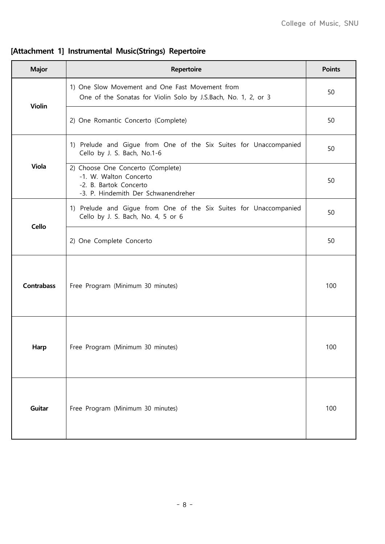## **[Attachment 1] Instrumental Music(Strings) Repertoire**

| <b>Major</b>      | <b>Repertoire</b>                                                                                                            | <b>Points</b> |
|-------------------|------------------------------------------------------------------------------------------------------------------------------|---------------|
| <b>Violin</b>     | 1) One Slow Movement and One Fast Movement from<br>One of the Sonatas for Violin Solo by J.S.Bach, No. 1, 2, or 3            | 50            |
|                   | 2) One Romantic Concerto (Complete)                                                                                          | 50            |
|                   | 1) Prelude and Gigue from One of the Six Suites for Unaccompanied<br>Cello by J. S. Bach, No.1-6                             | 50            |
| <b>Viola</b>      | 2) Choose One Concerto (Complete)<br>-1. W. Walton Concerto<br>-2. B. Bartok Concerto<br>-3. P. Hindemith Der Schwanendreher | 50            |
| Cello             | 1) Prelude and Gigue from One of the Six Suites for Unaccompanied<br>Cello by J. S. Bach, No. 4, 5 or 6                      | 50            |
|                   | 2) One Complete Concerto                                                                                                     | 50            |
| <b>Contrabass</b> | Free Program (Minimum 30 minutes)                                                                                            | 100           |
| Harp              | Free Program (Minimum 30 minutes)                                                                                            | 100           |
| Guitar            | Free Program (Minimum 30 minutes)                                                                                            | 100           |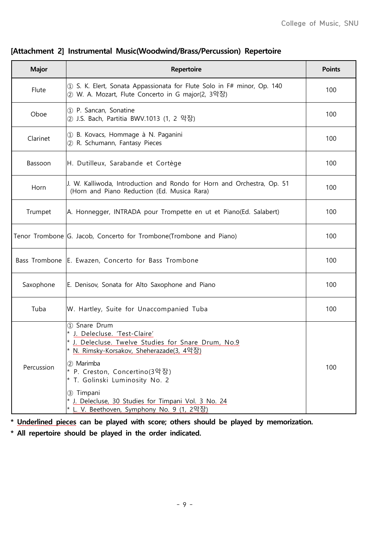| <b>Major</b> | Repertoire                                                                                                                                     | <b>Points</b> |
|--------------|------------------------------------------------------------------------------------------------------------------------------------------------|---------------|
| Flute        | 10 S. K. Elert, Sonata Appassionata for Flute Solo in F# minor, Op. 140<br>② W. A. Mozart, Flute Concerto in G major(2, 3악장)                   | 100           |
| Oboe         | 1 P. Sancan, Sonatine<br>② J.S. Bach, Partitia BWV.1013 (1, 2 악장)                                                                              | 100           |
| Clarinet     | 1 B. Kovacs, Hommage à N. Paganini<br>2 R. Schumann, Fantasy Pieces                                                                            | 100           |
| Bassoon      | H. Dutilleux, Sarabande et Cortège                                                                                                             | 100           |
| Horn         | J. W. Kalliwoda, Introduction and Rondo for Horn and Orchestra, Op. 51<br>(Horn and Piano Reduction (Ed. Musica Rara)                          | 100           |
| Trumpet      | A. Honnegger, INTRADA pour Trompette en ut et Piano(Ed. Salabert)                                                                              | 100           |
|              | Tenor Trombone G. Jacob, Concerto for Trombone(Trombone and Piano)                                                                             | 100           |
|              | Bass Trombone E. Ewazen, Concerto for Bass Trombone                                                                                            | 100           |
| Saxophone    | E. Denisov, Sonata for Alto Saxophone and Piano                                                                                                | 100           |
| Tuba         | W. Hartley, Suite for Unaccompanied Tuba                                                                                                       | 100           |
|              | 1) Snare Drum<br>J. Delecluse. 'Test-Claire'<br>* J. Delecluse. Twelve Studies for Snare Drum, No.9<br>N. Rimsky-Korsakov, Sheherazade(3, 4악장) |               |
| Percussion   | (2) Marimba<br>* P. Creston, Concertino(3악장)<br>* T. Golinski Luminosity No. 2                                                                 | 100           |
|              | 3 Timpani<br>* J. Delecluse, 30 Studies for Timpani Vol. 3 No. 24<br>* L. V. Beethoven, Symphony No. 9 (1, 2악장)                                |               |

#### **[Attachment 2] Instrumental Music(Woodwind/Brass/Percussion) Repertoire**

**\* Underlined pieces can be played with score; others should be played by memorization.**

**\* All repertoire should be played in the order indicated.**